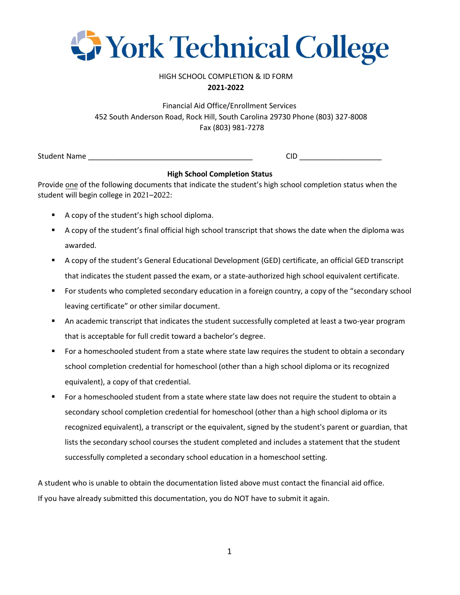

### HIGH SCHOOL COMPLETION & ID FORM **2021-2022**

Financial Aid Office/Enrollment Services 452 South Anderson Road, Rock Hill, South Carolina 29730 Phone (803) 327-8008 Fax (803) 981-7278

Student Name \_\_\_\_\_\_\_\_\_\_\_\_\_\_\_\_\_\_\_\_\_\_\_\_\_\_\_\_\_\_\_\_\_\_\_\_\_\_\_\_ CID \_\_\_\_\_\_\_\_\_\_\_\_\_\_\_\_\_\_\_\_

## **High School Completion Status**

Provide one of the following documents that indicate the student's high school completion status when the student will begin college in 2021–2022:

- A copy of the student's high school diploma.
- A copy of the student's final official high school transcript that shows the date when the diploma was awarded.
- A copy of the student's General Educational Development (GED) certificate, an official GED transcript that indicates the student passed the exam, or a state-authorized high school equivalent certificate.
- For students who completed secondary education in a foreign country, a copy of the "secondary school leaving certificate" or other similar document.
- An academic transcript that indicates the student successfully completed at least a two-year program that is acceptable for full credit toward a bachelor's degree.
- For a homeschooled student from a state where state law requires the student to obtain a secondary school completion credential for homeschool (other than a high school diploma or its recognized equivalent), a copy of that credential.
- For a homeschooled student from a state where state law does not require the student to obtain a secondary school completion credential for homeschool (other than a high school diploma or its recognized equivalent), a transcript or the equivalent, signed by the student's parent or guardian, that lists the secondary school courses the student completed and includes a statement that the student successfully completed a secondary school education in a homeschool setting.

A student who is unable to obtain the documentation listed above must contact the financial aid office. If you have already submitted this documentation, you do NOT have to submit it again.

1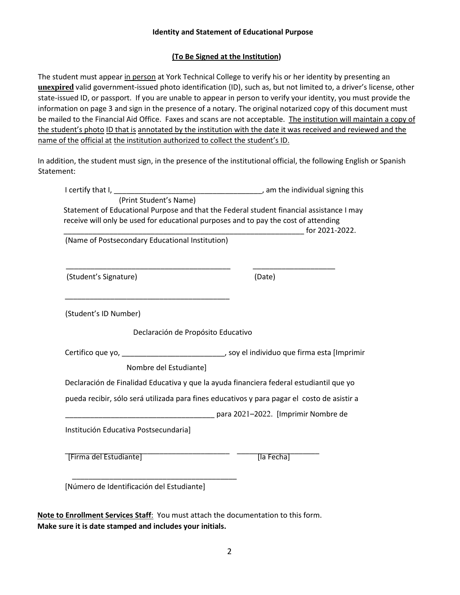#### **Identity and Statement of Educational Purpose**

### **(To Be Signed at the Institution)**

The student must appear in person at York Technical College to verify his or her identity by presenting an **unexpired** valid government-issued photo identification (ID), such as, but not limited to, a driver's license, other state-issued ID, or passport. If you are unable to appear in person to verify your identity, you must provide the information on page 3 and sign in the presence of a notary. The original notarized copy of this document must be mailed to the Financial Aid Office. Faxes and scans are not acceptable. The institution will maintain a copy of the student's photo ID that is annotated by the institution with the date it was received and reviewed and the name of the official at the institution authorized to collect the student's ID.

In addition, the student must sign, in the presence of the institutional official, the following English or Spanish Statement:

| I certify that $I,$                                                                         | am the individual signing this      |
|---------------------------------------------------------------------------------------------|-------------------------------------|
| (Print Student's Name)                                                                      |                                     |
| Statement of Educational Purpose and that the Federal student financial assistance I may    |                                     |
| receive will only be used for educational purposes and to pay the cost of attending         |                                     |
|                                                                                             | for 2021-2022.                      |
| (Name of Postsecondary Educational Institution)                                             |                                     |
| (Student's Signature)                                                                       | (Date)                              |
| (Student's ID Number)                                                                       |                                     |
| Declaración de Propósito Educativo                                                          |                                     |
| Certifico que yo, _____________________________, soy el individuo que firma esta [Imprimir  |                                     |
| Nombre del Estudiante]                                                                      |                                     |
| Declaración de Finalidad Educativa y que la ayuda financiera federal estudiantil que yo     |                                     |
| pueda recibir, sólo será utilizada para fines educativos y para pagar el costo de asistir a |                                     |
|                                                                                             | para 2021-2022. [Imprimir Nombre de |
| Institución Educativa Postsecundaria]                                                       |                                     |
| [Firma del Estudiante]                                                                      | [la Fecha]                          |
| [Número de Identificación del Estudiante]                                                   |                                     |

**Note to Enrollment Services Staff**: You must attach the documentation to this form. **Make sure it is date stamped and includes your initials.**